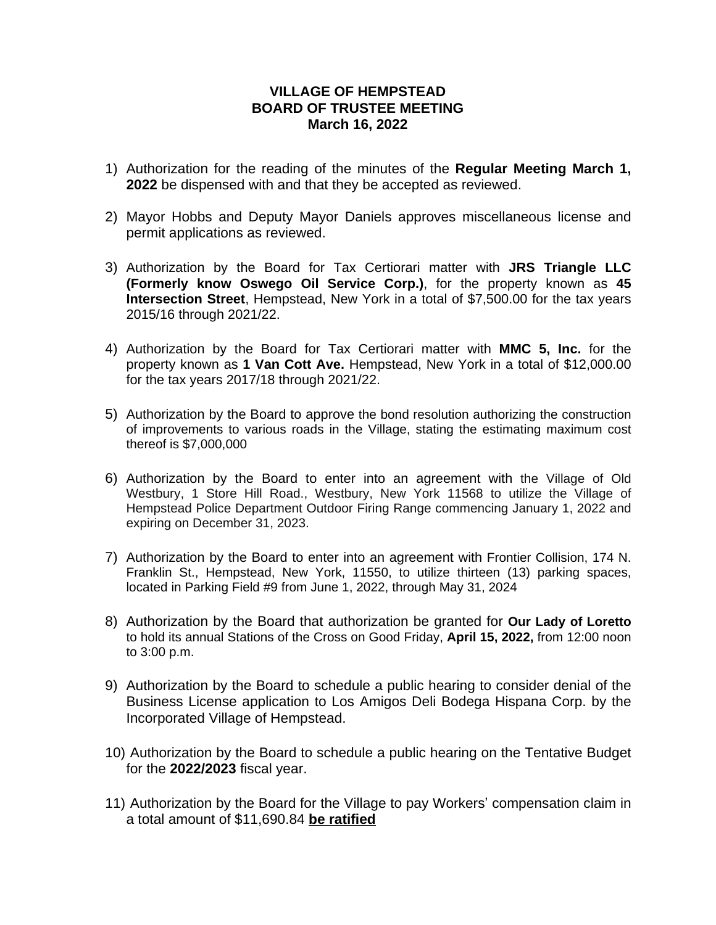## **VILLAGE OF HEMPSTEAD BOARD OF TRUSTEE MEETING March 16, 2022**

- 1) Authorization for the reading of the minutes of the **Regular Meeting March 1, 2022** be dispensed with and that they be accepted as reviewed.
- 2) Mayor Hobbs and Deputy Mayor Daniels approves miscellaneous license and permit applications as reviewed.
- 3) Authorization by the Board for Tax Certiorari matter with **JRS Triangle LLC (Formerly know Oswego Oil Service Corp.)**, for the property known as **45 Intersection Street**, Hempstead, New York in a total of \$7,500.00 for the tax years 2015/16 through 2021/22.
- 4) Authorization by the Board for Tax Certiorari matter with **MMC 5, Inc.** for the property known as **1 Van Cott Ave.** Hempstead, New York in a total of \$12,000.00 for the tax years 2017/18 through 2021/22.
- 5) Authorization by the Board to approve the bond resolution authorizing the construction of improvements to various roads in the Village, stating the estimating maximum cost thereof is \$7,000,000
- 6) Authorization by the Board to enter into an agreement with the Village of Old Westbury, 1 Store Hill Road., Westbury, New York 11568 to utilize the Village of Hempstead Police Department Outdoor Firing Range commencing January 1, 2022 and expiring on December 31, 2023.
- 7) Authorization by the Board to enter into an agreement with Frontier Collision, 174 N. Franklin St., Hempstead, New York, 11550, to utilize thirteen (13) parking spaces, located in Parking Field #9 from June 1, 2022, through May 31, 2024
- 8) Authorization by the Board that authorization be granted for **Our Lady of Loretto** to hold its annual Stations of the Cross on Good Friday, **April 15, 2022,** from 12:00 noon to 3:00 p.m.
- 9) Authorization by the Board to schedule a public hearing to consider denial of the Business License application to Los Amigos Deli Bodega Hispana Corp. by the Incorporated Village of Hempstead.
- 10) Authorization by the Board to schedule a public hearing on the Tentative Budget for the **2022/2023** fiscal year.
- 11) Authorization by the Board for the Village to pay Workers' compensation claim in a total amount of \$11,690.84 **be ratified**